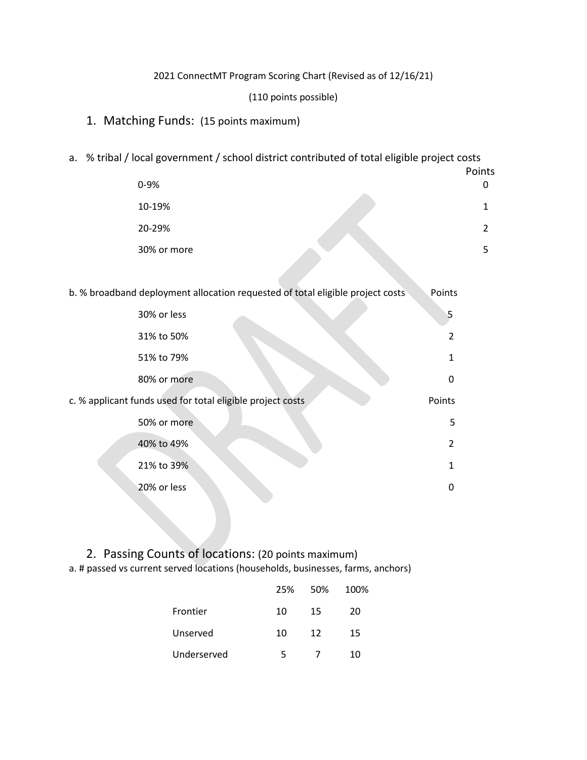#### 2021 ConnectMT Program Scoring Chart (Revised as of 12/16/21)

#### (110 points possible)

### 1. Matching Funds: (15 points maximum)

### a. % tribal / local government / school district contributed of total eligible project costs

| 0-9%        | Points<br>0 |
|-------------|-------------|
| 10-19%      |             |
| 20-29%      | າ           |
| 30% or more | 5           |

|  |  | b. % broadband deployment allocation requested of total eligible project costs | Points |
|--|--|--------------------------------------------------------------------------------|--------|
|--|--|--------------------------------------------------------------------------------|--------|

| 30% or less                                                | 5              |
|------------------------------------------------------------|----------------|
| 31% to 50%                                                 | $\overline{2}$ |
| 51% to 79%                                                 | $\mathbf{1}$   |
| 80% or more                                                | 0              |
| c. % applicant funds used for total eligible project costs | Points         |
| 50% or more                                                | 5              |
| 40% to 49%                                                 | $2^{\circ}$    |
| 21% to 39%                                                 | $\mathbf{1}$   |
| 20% or less                                                | 0              |
|                                                            |                |

# 2. Passing Counts of locations: (20 points maximum)

a. # passed vs current served locations (households, businesses, farms, anchors)

|             | 25% | 50% | 100% |
|-------------|-----|-----|------|
| Frontier    | 10  | 15  | 20   |
| Unserved    | 10  | 12  | 15   |
| Underserved | 5   |     | 10   |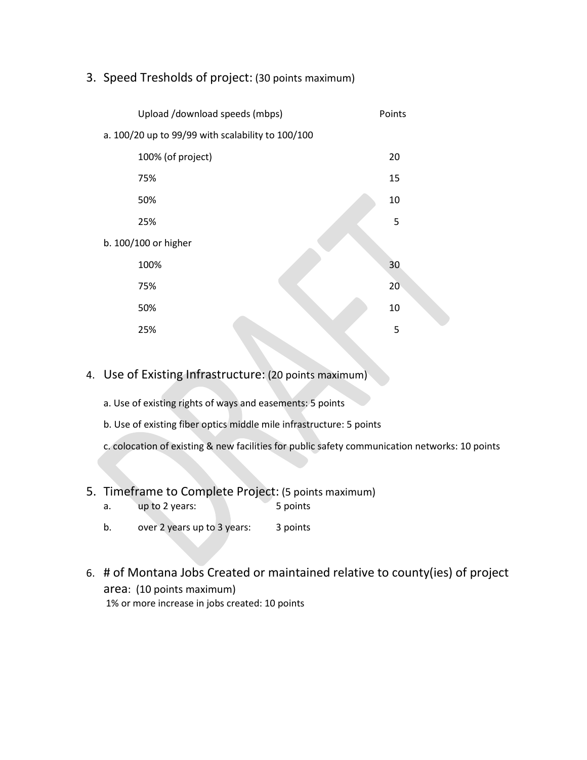# 3. Speed Tresholds of project: (30 points maximum)

| Upload /download speeds (mbps)                    | Points |  |
|---------------------------------------------------|--------|--|
| a. 100/20 up to 99/99 with scalability to 100/100 |        |  |
| 100% (of project)                                 | 20     |  |
| 75%                                               | 15     |  |
| 50%                                               | 10     |  |
| 25%                                               | 5      |  |
| b. 100/100 or higher                              |        |  |
| 100%                                              | 30     |  |
| 75%                                               | 20     |  |
| 50%                                               | 10     |  |
| 25%                                               | 5      |  |

# 4. Use of Existing Infrastructure: (20 points maximum)

a. Use of existing rights of ways and easements: 5 points

- b. Use of existing fiber optics middle mile infrastructure: 5 points
- c. colocation of existing & new facilities for public safety communication networks: 10 points

# 5. Timeframe to Complete Project: (5 points maximum)

- a. up to 2 years: 5 points
- b. over 2 years up to 3 years: 3 points
- 6. # of Montana Jobs Created or maintained relative to county(ies) of project area: (10 points maximum) 1% or more increase in jobs created: 10 points